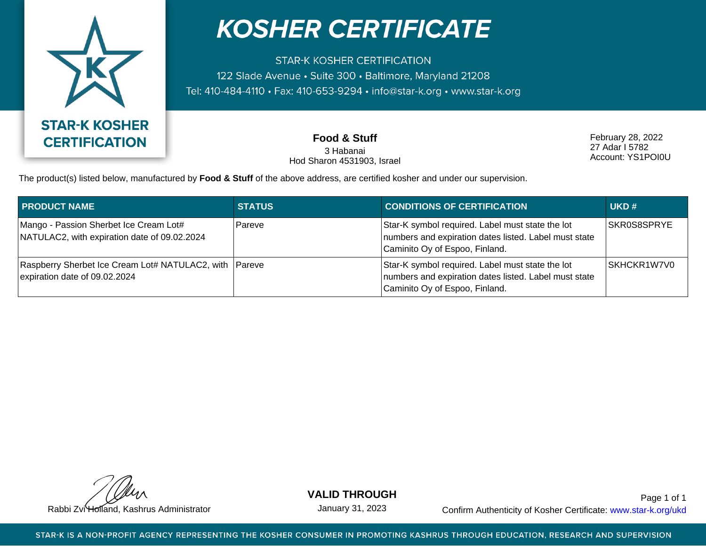

## **KOSHER CERTIFICATE**

**STAR-K KOSHER CERTIFICATION** 122 Slade Avenue · Suite 300 · Baltimore, Maryland 21208 Tel: 410-484-4110 · Fax: 410-653-9294 · info@star-k.org · www.star-k.org

> **Food & Stuff** 3 Habanai Hod Sharon 4531903, Israel

February 28, 2022 27 Adar I 5782 Account: YS1POI0U

The product(s) listed below, manufactured by **Food & Stuff** of the above address, are certified kosher and under our supervision.

| <b>PRODUCT NAME</b>                                                                     | <b>STATUS</b> | <b>CONDITIONS OF CERTIFICATION</b>                                                                                                          | UKD#        |
|-----------------------------------------------------------------------------------------|---------------|---------------------------------------------------------------------------------------------------------------------------------------------|-------------|
| Mango - Passion Sherbet Ice Cream Lot#<br>NATULAC2, with expiration date of 09.02.2024  | Pareve        | Star-K symbol required. Label must state the lot<br>numbers and expiration dates listed. Label must state<br>Caminito Oy of Espoo, Finland. | SKR0S8SPRYE |
| Raspberry Sherbet Ice Cream Lot# NATULAC2, with Pareve<br>expiration date of 09.02.2024 |               | Star-K symbol required. Label must state the lot<br>numbers and expiration dates listed. Label must state<br>Caminito Oy of Espoo, Finland. | SKHCKR1W7V0 |

**VALID THROUGH**

January 31, 2023

Rabbi Zvi Holland, Kashrus Administrator **Confirm Authenticity of Kosher Certificate:** www.star-k.org/ukd Page 1 of 1

STAR-K IS A NON-PROFIT AGENCY REPRESENTING THE KOSHER CONSUMER IN PROMOTING KASHRUS THROUGH EDUCATION, RESEARCH AND SUPERVISION